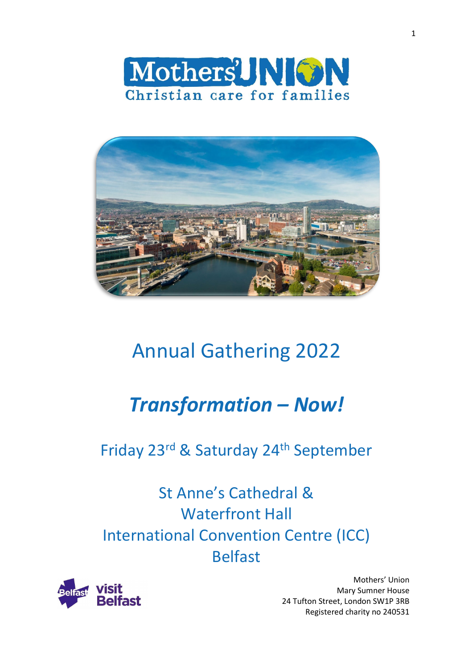



# Annual Gathering 2022

# *Transformation – Now!*

## Friday 23rd & Saturday 24<sup>th</sup> September

St Anne's Cathedral & Waterfront Hall International Convention Centre (ICC) Belfast



Mothers' Union Mary Sumner House 24 Tufton Street, London SW1P 3RB Registered charity no 240531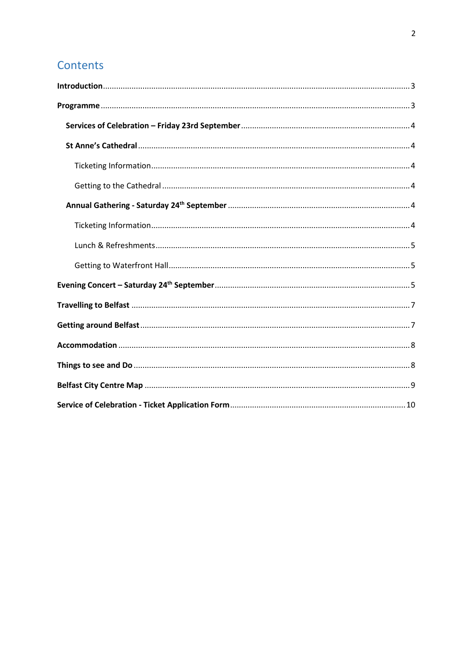### Contents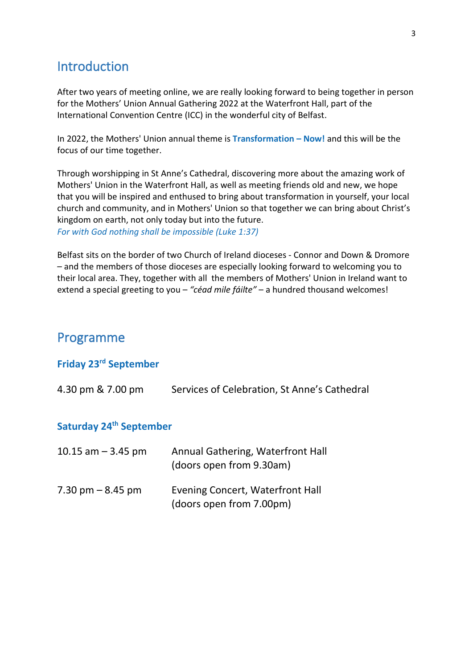### <span id="page-2-0"></span>**Introduction**

After two years of meeting online, we are really looking forward to being together in person for the Mothers' Union Annual Gathering 2022 at the Waterfront Hall, part of the International Convention Centre (ICC) in the wonderful city of Belfast.

In 2022, the Mothers' Union annual theme is **Transformation – Now!** and this will be the focus of our time together.

Through worshipping in St Anne's Cathedral, discovering more about the amazing work of Mothers' Union in the Waterfront Hall, as well as meeting friends old and new, we hope that you will be inspired and enthused to bring about transformation in yourself, your local church and community, and in Mothers' Union so that together we can bring about Christ's kingdom on earth, not only today but into the future. *For with God nothing shall be impossible (Luke 1:37)*

Belfast sits on the border of two Church of Ireland dioceses - Connor and Down & Dromore – and the members of those dioceses are especially looking forward to welcoming you to their local area. They, together with all the members of Mothers' Union in Ireland want to extend a special greeting to you – *"céad mile fáilte"* – a hundred thousand welcomes!

### <span id="page-2-1"></span>Programme

#### **Friday 23rd September**

| 4.30 pm & 7.00 pm                   | Services of Celebration, St Anne's Cathedral                  |
|-------------------------------------|---------------------------------------------------------------|
| Saturday 24 <sup>th</sup> September |                                                               |
| 10.15 $am - 3.45$ pm                | Annual Gathering, Waterfront Hall<br>(doors open from 9.30am) |
| $7.30 \text{ pm} - 8.45 \text{ pm}$ | Evening Concert, Waterfront Hall<br>(doors open from 7.00pm)  |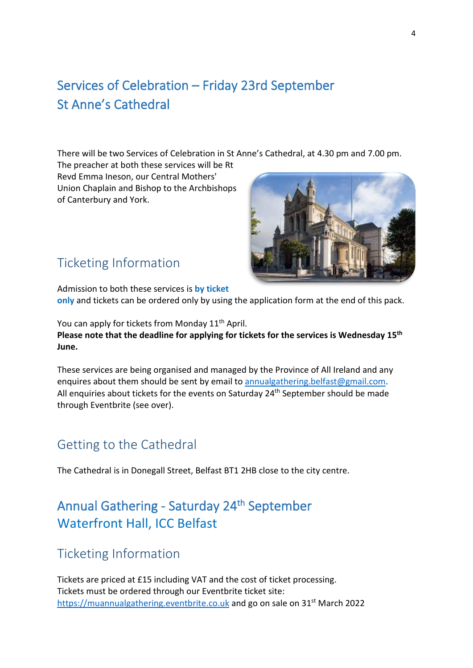### <span id="page-3-1"></span><span id="page-3-0"></span>Services of Celebration – Friday 23rd September St Anne's Cathedral

There will be two Services of Celebration in St Anne's Cathedral, at 4.30 pm and 7.00 pm.

The preacher at both these services will be Rt Revd Emma Ineson, our Central Mothers' Union Chaplain and Bishop to the Archbishops of Canterbury and York.



### <span id="page-3-2"></span>Ticketing Information

Admission to both these services is **by ticket only** and tickets can be ordered only by using the application form at the end of this pack.

You can apply for tickets from Monday 11<sup>th</sup> April. **Please note that the deadline for applying for tickets for the services is Wednesday 15th June.**

These services are being organised and managed by the Province of All Ireland and any enquires about them should be sent by email to [annualgathering.belfast@gmail.com.](mailto:annualgathering.belfast@gmail.com) All enquiries about tickets for the events on Saturday 24<sup>th</sup> September should be made through Eventbrite (see over).

### <span id="page-3-3"></span>Getting to the Cathedral

The Cathedral is in Donegall Street, Belfast BT1 2HB close to the city centre.

### <span id="page-3-4"></span>Annual Gathering - Saturday 24<sup>th</sup> September Waterfront Hall, ICC Belfast

### <span id="page-3-5"></span>Ticketing Information

Tickets are priced at £15 including VAT and the cost of ticket processing. Tickets must be ordered through our Eventbrite ticket site: [https://muannualgathering.eventbrite.co.uk](https://muannualgathering.eventbrite.co.uk/) and go on sale on 31<sup>st</sup> March 2022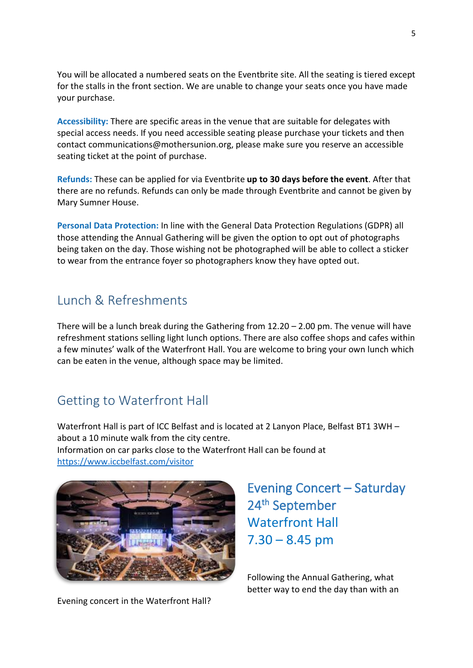You will be allocated a numbered seats on the Eventbrite site. All the seating is tiered except for the stalls in the front section. We are unable to change your seats once you have made your purchase.

**Accessibility:** There are specific areas in the venue that are suitable for delegates with special access needs. If you need accessible seating please purchase your tickets and then contact communications@mothersunion.org, please make sure you reserve an accessible seating ticket at the point of purchase.

**Refunds:** These can be applied for via Eventbrite **up to 30 days before the event**. After that there are no refunds. Refunds can only be made through Eventbrite and cannot be given by Mary Sumner House.

**Personal Data Protection:** In line with the General Data Protection Regulations (GDPR) all those attending the Annual Gathering will be given the option to opt out of photographs being taken on the day. Those wishing not be photographed will be able to collect a sticker to wear from the entrance foyer so photographers know they have opted out.

### <span id="page-4-0"></span>Lunch & Refreshments

There will be a lunch break during the Gathering from  $12.20 - 2.00$  pm. The venue will have refreshment stations selling light lunch options. There are also coffee shops and cafes within a few minutes' walk of the Waterfront Hall. You are welcome to bring your own lunch which can be eaten in the venue, although space may be limited.

### <span id="page-4-1"></span>Getting to Waterfront Hall

Waterfront Hall is part of ICC Belfast and is located at 2 Lanyon Place, Belfast BT1 3WH – about a 10 minute walk from the city centre. Information on car parks close to the Waterfront Hall can be found at <https://www.iccbelfast.com/visitor>



Evening concert in the Waterfront Hall?

<span id="page-4-2"></span>Evening Concert – Saturday 24th September Waterfront Hall  $7.30 - 8.45$  pm

Following the Annual Gathering, what better way to end the day than with an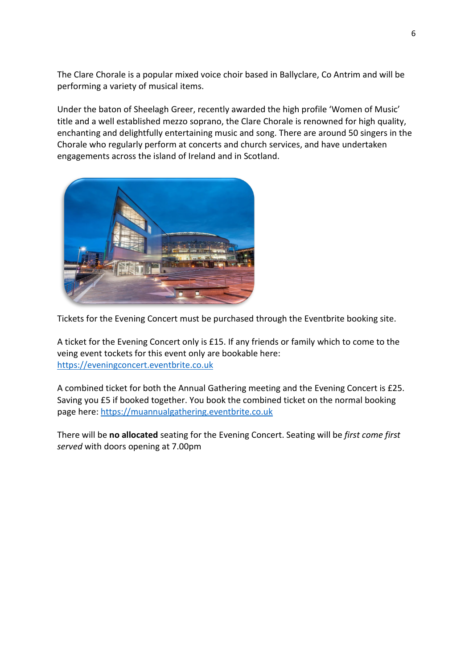The Clare Chorale is a popular mixed voice choir based in Ballyclare, Co Antrim and will be performing a variety of musical items.

Under the baton of Sheelagh Greer, recently awarded the high profile 'Women of Music' title and a well established mezzo soprano, the Clare Chorale is renowned for high quality, enchanting and delightfully entertaining music and song. There are around 50 singers in the Chorale who regularly perform at concerts and church services, and have undertaken engagements across the island of Ireland and in Scotland.



Tickets for the Evening Concert must be purchased through the Eventbrite booking site.

A ticket for the Evening Concert only is £15. If any friends or family which to come to the veing event tockets for this event only are bookable here: [https://eveningconcert.eventbrite.co.uk](https://eveningconcert.eventbrite.co.uk/) 

A combined ticket for both the Annual Gathering meeting and the Evening Concert is £25. Saving you £5 if booked together. You book the combined ticket on the normal booking page here: https://muannualgathering.eventbrite.co.uk

There will be **no allocated** seating for the Evening Concert. Seating will be *first come first served* with doors opening at 7.00pm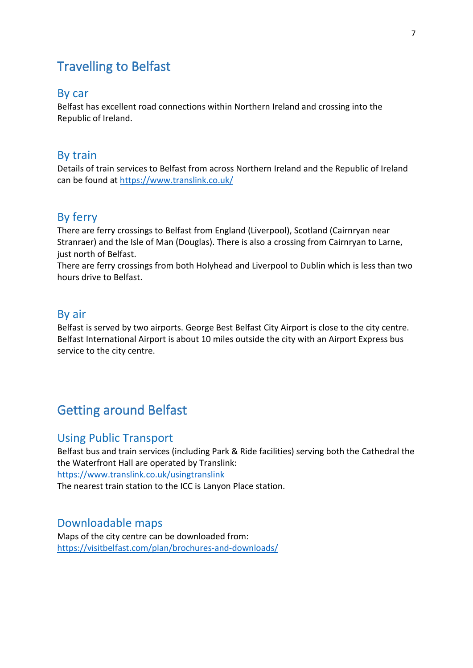### <span id="page-6-0"></span>Travelling to Belfast

#### By car

Belfast has excellent road connections within Northern Ireland and crossing into the Republic of Ireland.

#### By train

Details of train services to Belfast from across Northern Ireland and the Republic of Ireland can be found at <https://www.translink.co.uk/>

#### By ferry

There are ferry crossings to Belfast from England (Liverpool), Scotland (Cairnryan near Stranraer) and the Isle of Man (Douglas). There is also a crossing from Cairnryan to Larne, just north of Belfast.

There are ferry crossings from both Holyhead and Liverpool to Dublin which is less than two hours drive to Belfast.

#### By air

Belfast is served by two airports. George Best Belfast City Airport is close to the city centre. Belfast International Airport is about 10 miles outside the city with an Airport Express bus service to the city centre.

### <span id="page-6-1"></span>Getting around Belfast

#### Using Public Transport

Belfast bus and train services (including Park & Ride facilities) serving both the Cathedral the the Waterfront Hall are operated by Translink: <https://www.translink.co.uk/usingtranslink> The nearest train station to the ICC is Lanyon Place station.

#### Downloadable maps

Maps of the city centre can be downloaded from: <https://visitbelfast.com/plan/brochures-and-downloads/>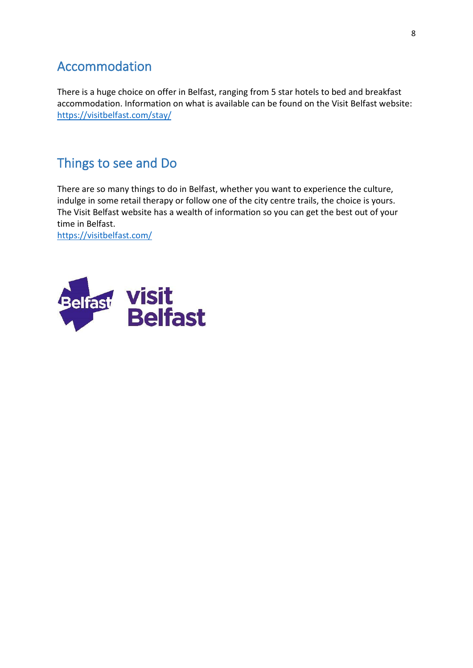### <span id="page-7-0"></span>Accommodation

There is a huge choice on offer in Belfast, ranging from 5 star hotels to bed and breakfast accommodation. Information on what is available can be found on the Visit Belfast website: <https://visitbelfast.com/stay/>

### <span id="page-7-1"></span>Things to see and Do

There are so many things to do in Belfast, whether you want to experience the culture, indulge in some retail therapy or follow one of the city centre trails, the choice is yours. The Visit Belfast website has a wealth of information so you can get the best out of your time in Belfast.

<https://visitbelfast.com/>

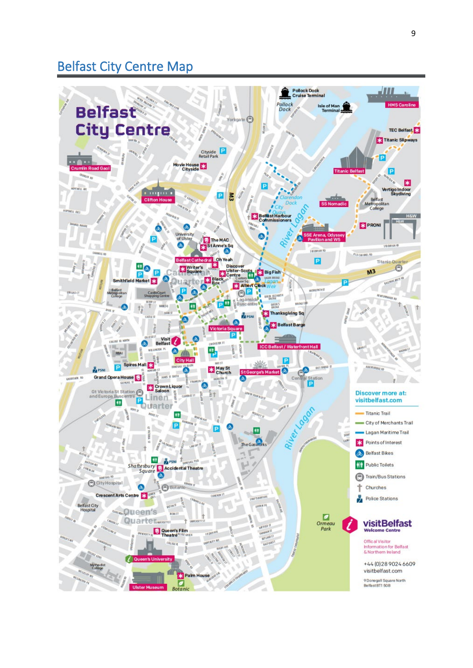### <span id="page-8-0"></span>Belfast City Centre Map